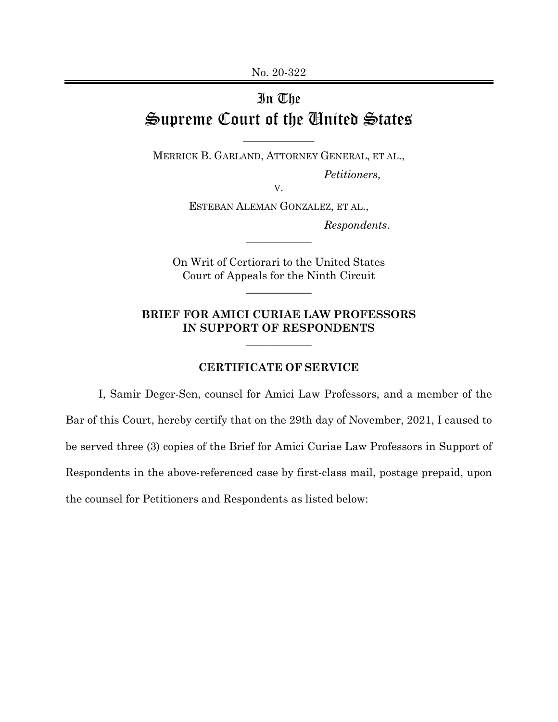## In The Supreme Court of the United States

\_\_\_\_\_\_\_\_\_\_\_\_

MERRICK B. GARLAND, ATTORNEY GENERAL, ET AL., *Petitioners,* 

V.

ESTEBAN ALEMAN GONZALEZ, ET AL.,

 $\overline{\phantom{a}}$  , where  $\overline{\phantom{a}}$ 

*Respondents*.

On Writ of Certiorari to the United States Court of Appeals for the Ninth Circuit

 $\overline{\phantom{a}}$  , where  $\overline{\phantom{a}}$ 

## **BRIEF FOR AMICI CURIAE LAW PROFESSORS IN SUPPORT OF RESPONDENTS**

 $\overline{\phantom{a}}$  , where  $\overline{\phantom{a}}$ 

## **CERTIFICATE OF SERVICE**

I, Samir Deger-Sen, counsel for Amici Law Professors, and a member of the Bar of this Court, hereby certify that on the 29th day of November, 2021, I caused to be served three (3) copies of the Brief for Amici Curiae Law Professors in Support of Respondents in the above-referenced case by first-class mail, postage prepaid, upon the counsel for Petitioners and Respondents as listed below: